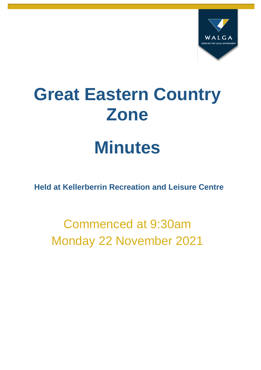

# **Great Eastern Country Zone**

# **Minutes**

**Held at Kellerberrin Recreation and Leisure Centre**

Commenced at 9:30am Monday 22 November 2021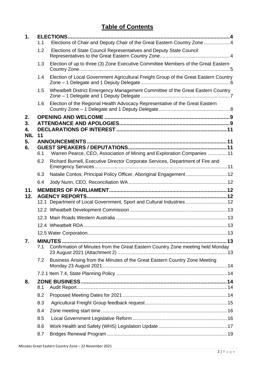# **Table of Contents**

| 1.                           |     | <b>ELECTIONS</b>                                                                     |  |
|------------------------------|-----|--------------------------------------------------------------------------------------|--|
|                              | 1.1 | Elections of Chair and Deputy Chair of the Great Eastern Country Zone  4             |  |
|                              | 1.2 | Elections of State Council Representatives and Deputy State Council                  |  |
|                              | 1.3 | Election of up to three (3) Zone Executive Committee Members of the Great Eastern    |  |
|                              | 1.4 | Election of Local Government Agricultural Freight Group of the Great Eastern Country |  |
|                              | 1.5 | Wheatbelt District Emergency Management Committee of the Great Eastern Country       |  |
|                              | 1.6 | Election of the Regional Health Advocacy Representative of the Great Eastern         |  |
| 2.<br>3.<br>4.<br><b>NIL</b> | 11  |                                                                                      |  |
| 5.<br>6.                     | 6.1 | Warren Pearce, CEO, Association of Mining and Exploration Companies  11              |  |
|                              | 6.2 | Richard Burnell, Executive Director Corporate Services, Department of Fire and       |  |
|                              | 6.3 | Natalie Contos, Principal Policy Officer, Aboriginal Engagement  12                  |  |
|                              | 6.4 |                                                                                      |  |
| 11.                          |     |                                                                                      |  |
| 12.                          |     |                                                                                      |  |
|                              |     | 12.1 Department of Local Government, Sport and Cultural Industries  12               |  |
|                              |     |                                                                                      |  |
|                              |     |                                                                                      |  |
|                              |     |                                                                                      |  |
|                              |     |                                                                                      |  |
| 7.                           | 7.1 | Confirmation of Minutes from the Great Eastern Country Zone meeting held Monday      |  |
|                              | 7.2 | Business Arising from the Minutes of the Great Eastern Country Zone Meeting          |  |
|                              |     |                                                                                      |  |
| 8.                           | 8.1 |                                                                                      |  |
|                              | 8.2 |                                                                                      |  |
|                              |     |                                                                                      |  |
|                              | 8.3 |                                                                                      |  |
|                              | 8.4 |                                                                                      |  |
|                              | 8.5 |                                                                                      |  |
|                              | 8.6 |                                                                                      |  |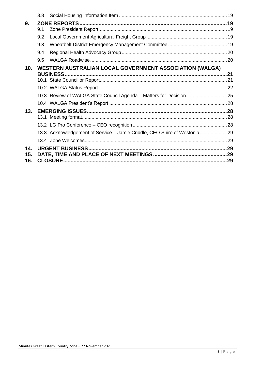|     | 8.8 |                                                                          |  |
|-----|-----|--------------------------------------------------------------------------|--|
| 9.  |     |                                                                          |  |
|     | 9.1 |                                                                          |  |
|     | 9.2 |                                                                          |  |
|     | 9.3 |                                                                          |  |
|     | 9.4 |                                                                          |  |
|     | 9.5 |                                                                          |  |
| 10. |     | <b>WESTERN AUSTRALIAN LOCAL GOVERNMENT ASSOCIATION (WALGA)</b>           |  |
|     |     | <b>BUSINESS.</b>                                                         |  |
|     |     |                                                                          |  |
|     |     |                                                                          |  |
|     |     |                                                                          |  |
|     |     |                                                                          |  |
| 13. |     |                                                                          |  |
|     |     |                                                                          |  |
|     |     |                                                                          |  |
|     |     | 13.3 Acknowledgement of Service - Jamie Criddle, CEO Shire of Westonia29 |  |
|     |     |                                                                          |  |
| 14. |     |                                                                          |  |
| 15. |     |                                                                          |  |
| 16. |     |                                                                          |  |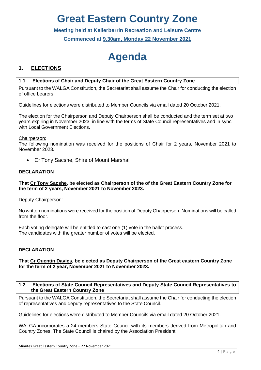# **Great Eastern Country Zone**

**Meeting held at Kellerberrin Recreation and Leisure Centre Commenced at 9.30am, Monday 22 November 2021**

# **Agenda**

# <span id="page-3-0"></span>**1. ELECTIONS**

# <span id="page-3-1"></span>**1.1 Elections of Chair and Deputy Chair of the Great Eastern Country Zone**

Pursuant to the WALGA Constitution, the Secretariat shall assume the Chair for conducting the election of office bearers.

Guidelines for elections were distributed to Member Councils via email dated 20 October 2021.

The election for the Chairperson and Deputy Chairperson shall be conducted and the term set at two years expiring in November 2023, in line with the terms of State Council representatives and in sync with Local Government Elections.

#### Chairperson:

The following nomination was received for the positions of Chair for 2 years, November 2021 to November 2023.

• Cr Tony Sacshe, Shire of Mount Marshall

#### **DECLARATION**

#### **That Cr Tony Sacshe, be elected as Chairperson of the of the Great Eastern Country Zone for the term of 2 years, November 2021 to November 2023.**

#### Deputy Chairperson:

No written nominations were received for the position of Deputy Chairperson. Nominations will be called from the floor.

Each voting delegate will be entitled to cast one (1) vote in the ballot process. The candidates with the greater number of votes will be elected.

#### **DECLARATION**

#### **That Cr Quentin Davies, be elected as Deputy Chairperson of the Great eastern Country Zone for the term of 2 year, November 2021 to November 2023.**

#### <span id="page-3-2"></span>**1.2 Elections of State Council Representatives and Deputy State Council Representatives to the Great Eastern Country Zone**

Pursuant to the WALGA Constitution, the Secretariat shall assume the Chair for conducting the election of representatives and deputy representatives to the State Council.

Guidelines for elections were distributed to Member Councils via email dated 20 October 2021.

WALGA incorporates a 24 members State Council with its members derived from Metropolitan and Country Zones. The State Council is chaired by the Association President.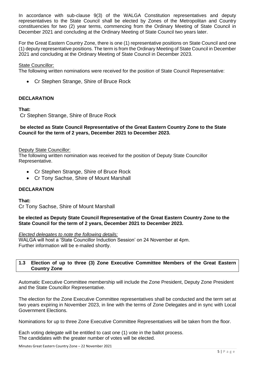In accordance with sub-clause 9(3) of the WALGA Constitution representatives and deputy representatives to the State Council shall be elected by Zones of the Metropolitan and Country constituencies for two (2) year terms, commencing from the Ordinary Meeting of State Council in December 2021 and concluding at the Ordinary Meeting of State Council two years later.

For the Great Eastern Country Zone, there is one (1) representative positions on State Council and one (1) deputy representative positions. The term is from the Ordinary Meeting of State Council in December 2021 and concluding at the Ordinary Meeting of State Council in December 2023.

#### State Councillor:

The following written nominations were received for the position of State Council Representative:

• Cr Stephen Strange, Shire of Bruce Rock

#### **DECLARATION**

#### **That:**

Cr Stephen Strange, Shire of Bruce Rock

#### **be elected as State Council Representative of the Great Eastern Country Zone to the State Council for the term of 2 years, December 2021 to December 2023.**

#### Deputy State Councillor:

The following written nomination was received for the position of Deputy State Councillor Representative.

- Cr Stephen Strange, Shire of Bruce Rock
- Cr Tony Sachse, Shire of Mount Marshall

#### **DECLARATION**

**That:** Cr Tony Sachse, Shire of Mount Marshall

#### **be elected as Deputy State Council Representative of the Great Eastern Country Zone to the State Council for the term of 2 years, December 2021 to December 2023.**

*Elected delegates to note the following details:* WALGA will host a 'State Councillor Induction Session' on 24 November at 4pm. Further information will be e-mailed shortly.

#### <span id="page-4-0"></span>**1.3 Election of up to three (3) Zone Executive Committee Members of the Great Eastern Country Zone**

Automatic Executive Committee membership will include the Zone President, Deputy Zone President and the State Councillor Representative.

The election for the Zone Executive Committee representatives shall be conducted and the term set at two years expiring in November 2023, in line with the terms of Zone Delegates and in sync with Local Government Elections.

Nominations for up to three Zone Executive Committee Representatives will be taken from the floor.

Each voting delegate will be entitled to cast one (1) vote in the ballot process. The candidates with the greater number of votes will be elected.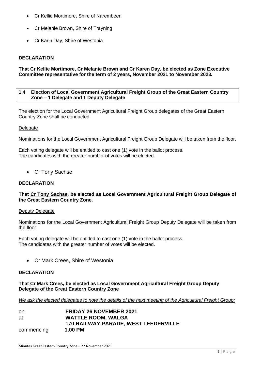- Cr Kellie Mortimore, Shire of Narembeen
- Cr Melanie Brown, Shire of Trayning
- Cr Karin Day, Shire of Westonia

#### **DECLARATION**

**That Cr Kellie Mortimore, Cr Melanie Brown and Cr Karen Day, be elected as Zone Executive Committee representative for the term of 2 years, November 2021 to November 2023.**

#### <span id="page-5-0"></span>**1.4 Election of Local Government Agricultural Freight Group of the Great Eastern Country Zone – 1 Delegate and 1 Deputy Delegate**

The election for the Local Government Agricultural Freight Group delegates of the Great Eastern Country Zone shall be conducted.

#### **Delegate**

Nominations for the Local Government Agricultural Freight Group Delegate will be taken from the floor.

Each voting delegate will be entitled to cast one (1) vote in the ballot process. The candidates with the greater number of votes will be elected.

• Cr Tony Sachse

#### **DECLARATION**

#### **That Cr Tony Sachse, be elected as Local Government Agricultural Freight Group Delegate of the Great Eastern Country Zone.**

#### Deputy Delegate

Nominations for the Local Government Agricultural Freight Group Deputy Delegate will be taken from the floor.

Each voting delegate will be entitled to cast one (1) vote in the ballot process. The candidates with the greater number of votes will be elected.

• Cr Mark Crees, Shire of Westonia

## **DECLARATION**

**That Cr Mark Crees, be elected as Local Government Agricultural Freight Group Deputy Delegate of the Great Eastern Country Zone**

*We ask the elected delegates to note the details of the next meeting of the Agricultural Freight Group:*

| on         | <b>FRIDAY 26 NOVEMBER 2021</b>              |
|------------|---------------------------------------------|
| at         | <b>WATTLE ROOM, WALGA</b>                   |
|            | <b>170 RAILWAY PARADE, WEST LEEDERVILLE</b> |
| commencing | 1.00 PM                                     |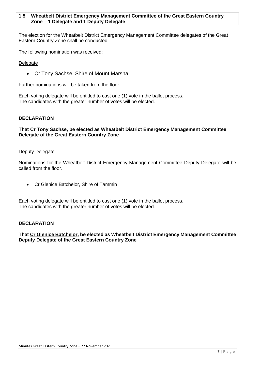#### <span id="page-6-0"></span>**1.5 Wheatbelt District Emergency Management Committee of the Great Eastern Country Zone – 1 Delegate and 1 Deputy Delegate**

The election for the Wheatbelt District Emergency Management Committee delegates of the Great Eastern Country Zone shall be conducted.

The following nomination was received:

**Delegate** 

• Cr Tony Sachse, Shire of Mount Marshall

Further nominations will be taken from the floor.

Each voting delegate will be entitled to cast one (1) vote in the ballot process. The candidates with the greater number of votes will be elected.

#### **DECLARATION**

**That Cr Tony Sachse, be elected as Wheatbelt District Emergency Management Committee Delegate of the Great Eastern Country Zone**

#### Deputy Delegate

Nominations for the Wheatbelt District Emergency Management Committee Deputy Delegate will be called from the floor.

• Cr Glenice Batchelor, Shire of Tammin

Each voting delegate will be entitled to cast one (1) vote in the ballot process. The candidates with the greater number of votes will be elected.

#### **DECLARATION**

**That Cr Glenice Batchelor, be elected as Wheatbelt District Emergency Management Committee Deputy Delegate of the Great Eastern Country Zone**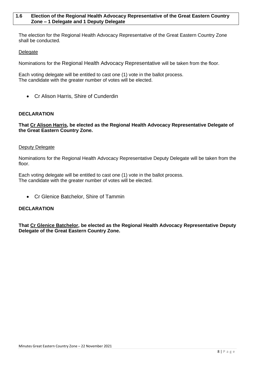#### <span id="page-7-0"></span>**1.6 Election of the Regional Health Advocacy Representative of the Great Eastern Country Zone – 1 Delegate and 1 Deputy Delegate**

The election for the Regional Health Advocacy Representative of the Great Eastern Country Zone shall be conducted.

#### **Delegate**

Nominations for the Regional Health Advocacy Representative will be taken from the floor.

Each voting delegate will be entitled to cast one (1) vote in the ballot process. The candidate with the greater number of votes will be elected.

• Cr Alison Harris, Shire of Cunderdin

#### **DECLARATION**

**That Cr Alison Harris, be elected as the Regional Health Advocacy Representative Delegate of the Great Eastern Country Zone.**

#### **Deputy Delegate**

Nominations for the Regional Health Advocacy Representative Deputy Delegate will be taken from the floor.

Each voting delegate will be entitled to cast one (1) vote in the ballot process. The candidate with the greater number of votes will be elected.

• Cr Glenice Batchelor, Shire of Tammin

#### **DECLARATION**

**That Cr Glenice Batchelor, be elected as the Regional Health Advocacy Representative Deputy Delegate of the Great Eastern Country Zone.**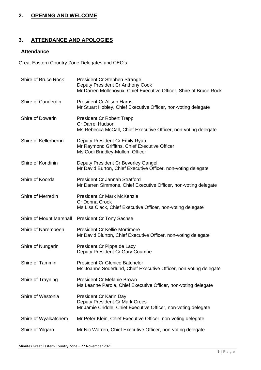# <span id="page-8-0"></span>**2. OPENING AND WELCOME**

# <span id="page-8-1"></span>**3. ATTENDANCE AND APOLOGIES**

# **Attendance**

# Great Eastern Country Zone Delegates and CEO's

| Shire of Bruce Rock     | President Cr Stephen Strange<br>Deputy President Cr Anthony Cook<br>Mr Darren Mollenoyux, Chief Executive Officer, Shire of Bruce Rock |
|-------------------------|----------------------------------------------------------------------------------------------------------------------------------------|
| Shire of Cunderdin      | <b>President Cr Alison Harris</b><br>Mr Stuart Hobley, Chief Executive Officer, non-voting delegate                                    |
| Shire of Dowerin        | <b>President Cr Robert Trepp</b><br><b>Cr Darrel Hudson</b><br>Ms Rebecca McCall, Chief Executive Officer, non-voting delegate         |
| Shire of Kellerberrin   | Deputy President Cr Emily Ryan<br>Mr Raymond Griffiths, Chief Executive Officer<br>Ms Codi Brindley-Mullen, Officer                    |
| Shire of Kondinin       | Deputy President Cr Beverley Gangell<br>Mr David Burton, Chief Executive Officer, non-voting delegate                                  |
| Shire of Koorda         | <b>President Cr Jannah Stratford</b><br>Mr Darren Simmons, Chief Executive Officer, non-voting delegate                                |
| Shire of Merredin       | <b>President Cr Mark McKenzie</b><br>Cr Donna Crook<br>Ms Lisa Clack, Chief Executive Officer, non-voting delegate                     |
| Shire of Mount Marshall | <b>President Cr Tony Sachse</b>                                                                                                        |
| Shire of Narembeen      | <b>President Cr Kellie Mortimore</b><br>Mr David Blurton, Chief Executive Officer, non-voting delegate                                 |
| Shire of Nungarin       | President Cr Pippa de Lacy<br>Deputy President Cr Gary Coumbe                                                                          |
| Shire of Tammin         | <b>President Cr Glenice Batchelor</b><br>Ms Joanne Soderlund, Chief Executive Officer, non-voting delegate                             |
| Shire of Trayning       | <b>President Cr Melanie Brown</b><br>Ms Leanne Parola, Chief Executive Officer, non-voting delegate                                    |
| Shire of Westonia       | President Cr Karin Day<br>Deputy President Cr Mark Crees<br>Mr Jamie Criddle, Chief Executive Officer, non-voting delegate             |
| Shire of Wyalkatchem    | Mr Peter Klein, Chief Executive Officer, non-voting delegate                                                                           |
| Shire of Yilgarn        | Mr Nic Warren, Chief Executive Officer, non-voting delegate                                                                            |
|                         |                                                                                                                                        |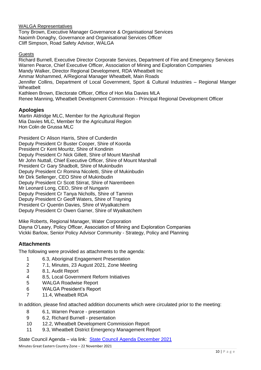WALGA Representatives

Tony Brown, Executive Manager Governance & Organisational Services Naoimh Donaghy, Governance and Organisational Services Officer Cliff Simpson, Road Safety Advisor, WALGA

#### **Guests**

Richard Burnell, Executive Director Corporate Services, Department of Fire and Emergency Services Warren Pearce, Chief Executive Officer, Association of Mining and Exploration Companies Mandy Walker, Director Regional Development, RDA Wheatbelt Inc Ammar Mohammed, A/Regional Manager Wheatbelt, Main Roads Jennifer Collins, Department of Local Government, Sport & Cultural Industries – Regional Manger **Wheathelt** Kathleen Brown, Electorate Officer, Office of Hon Mia Davies MLA Renee Manning, Wheatbelt Development Commission - Principal Regional Development Officer

#### **Apologies**

Martin Aldridge MLC, Member for the Agricultural Region Mia Davies MLC, Member for the Agricultural Region Hon Colin de Grussa MLC

President Cr Alison Harris, Shire of Cunderdin Deputy President Cr Buster Cooper, Shire of Koorda President Cr Kent Mouritz, Shire of Kondinin Deputy President Cr Nick Gillett, Shire of Mount Marshall Mr John Nuttall, Chief Executive Officer, Shire of Mount Marshall President Cr Gary Shadbolt, Shire of Mukinbudin Deputy President Cr Romina Nicoletti, Shire of Mukinbudin Mr Dirk Sellenger, CEO Shire of Mukinbudin Deputy President Cr Scott Stirrat, Shire of Narembeen Mr Leonard Long, CEO, Shire of Nungarin Deputy President Cr Tanya Nicholls, Shire of Tammin Deputy President Cr Geoff Waters, Shire of Trayning President Cr Quentin Davies, Shire of Wyalkatchem Deputy President Cr Owen Garner, Shire of Wyalkatchem

Mike Roberts, Regional Manager, Water Corporation Dayna O'Leary, Policy Officer, Association of Mining and Exploration Companies Vickki Barlow, Senior Policy Advisor Community - Strategy, Policy and Planning

# **Attachments**

The following were provided as attachments to the agenda:

- 1 6.3, Aboriginal Engagement Presentation
- 2 7.1, Minutes, 23 August 2021, Zone Meeting
- 3 8.1, Audit Report
- 4 8.5, Local Government Reform Initiatives
- 5 WALGA Roadwise Report
- 6 WALGA President's Report
- 7 11.4, Wheatbelt RDA

In addition, please find attached addition documents which were circulated prior to the meeting:

- 8 6.1, Warren Pearce presentation
- 9 6.2, Richard Burnell presentation
- 10 12.2, Wheatbelt Development Commission Report
- 11 9.3, Wheatbelt District Emergency Management Report

State Council Agenda – via link: [State Council Agenda December 2021](https://walga.asn.au/getattachment/3343e830-5768-4c52-8caa-6806b33bb7bc/State-Council-Agenda-1-December-2021.pdf)

Minutes Great Eastern Country Zone – 22 November 2021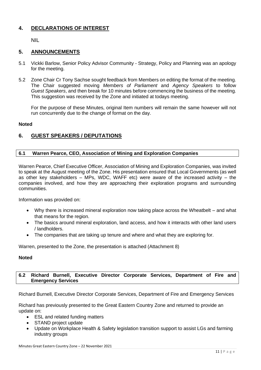# <span id="page-10-0"></span>**4. DECLARATIONS OF INTEREST**

NIL

# <span id="page-10-2"></span><span id="page-10-1"></span>**5. ANNOUNCEMENTS**

- 5.1 Vickki Barlow, Senior Policy Advisor Community Strategy, Policy and Planning was an apology for the meeting.
- 5.2 Zone Chair Cr Tony Sachse sought feedback from Members on editing the format of the meeting. The Chair suggested moving *Members of Parliament* and *Agency Speakers* to follow *Guest Speakers*, and then break for 10 minutes before commencing the business of the meeting. This suggestion was received by the Zone and initiated at todays meeting.

For the purpose of these Minutes, original Item numbers will remain the same however will not run concurrently due to the change of format on the day.

#### **Noted**

# <span id="page-10-3"></span>**6. GUEST SPEAKERS / DEPUTATIONS**

#### <span id="page-10-4"></span>**6.1 Warren Pearce, CEO, Association of Mining and Exploration Companies**

Warren Pearce, Chief Executive Officer, Association of Mining and Exploration Companies, was invited to speak at the August meeting of the Zone. His presentation ensured that Local Governments (as well as other key stakeholders – MPs, WDC, WAFF etc) were aware of the increased activity – the companies involved, and how they are approaching their exploration programs and surrounding communities.

Information was provided on:

- Why there is increased mineral exploration now taking place across the Wheatbelt and what that means for the region.
- The basics around mineral exploration, land access, and how it interacts with other land users / landholders.
- The companies that are taking up tenure and where and what they are exploring for.

Warren, presented to the Zone, the presentation is attached (Attachment 8)

#### **Noted**

#### <span id="page-10-5"></span>**6.2 Richard Burnell, Executive Director Corporate Services, Department of Fire and Emergency Services**

Richard Burnell, Executive Director Corporate Services, Department of Fire and Emergency Services

Richard has previously presented to the Great Eastern Country Zone and returned to provide an update on:

- ESL and related funding matters
- STAND project update
- Update on Workplace Health & Safety legislation transition support to assist LGs and farming industry groups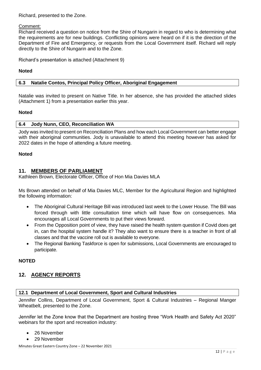Richard, presented to the Zone.

#### Comment:

Richard received a question on notice from the Shire of Nungarin in regard to who is determining what the requirements are for new buildings. Conflicting opinions were heard on if it is the direction of the Department of Fire and Emergency, or requests from the Local Government itself. Richard will reply directly to the Shire of Nungarin and to the Zone.

Richard's presentation is attached (Attachment 9)

#### **Noted**

<span id="page-11-0"></span>**6.3 Natalie Contos, Principal Policy Officer, Aboriginal Engagement**

Natalie was invited to present on Native Title. In her absence, she has provided the attached slides (Attachment 1) from a presentation earlier this year.

#### **Noted**

#### <span id="page-11-1"></span>**6.4 Jody Nunn, CEO, Reconciliation WA**

Jody was invited to present on Reconciliation Plans and how each Local Government can better engage with their aboriginal communities. Jody is unavailable to attend this meeting however has asked for 2022 dates in the hope of attending a future meeting.

#### **Noted**

#### <span id="page-11-2"></span>**11. MEMBERS OF PARLIAMENT**

Kathleen Brown, Electorate Officer, Office of Hon Mia Davies MLA

Ms Brown attended on behalf of Mia Davies MLC, Member for the Agricultural Region and highlighted the following information:

- The Aboriginal Cultural Heritage Bill was introduced last week to the Lower House. The Bill was forced through with little consultation time which will have flow on consequences. Mia encourages all Local Governments to put their views forward.
- From the Opposition point of view, they have raised the health system question if Covid does get in, can the hospital system handle it? They also want to ensure there is a teacher in front of all classes and that the vaccine roll out is available to everyone.
- The Regional Banking Taskforce is open for submissions, Local Governments are encouraged to participate.

# **NOTED**

# <span id="page-11-3"></span>**12. AGENCY REPORTS**

#### <span id="page-11-4"></span>**12.1 Department of Local Government, Sport and Cultural Industries**

Jennifer Collins, Department of Local Government, Sport & Cultural Industries – Regional Manger Wheatbelt, presented to the Zone.

Jennifer let the Zone know that the Department are hosting three "Work Health and Safety Act 2020" webinars for the sport and recreation industry:

- 26 November
- 29 November

Minutes Great Eastern Country Zone – 22 November 2021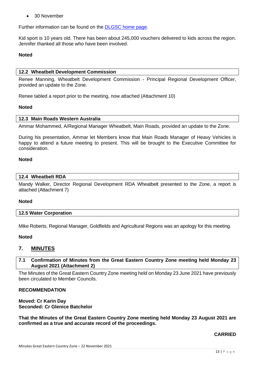• 30 November

Further information can be found on the [DLGSC home page.](https://www.dlgsc.wa.gov.au/)

Kid sport is 10 years old. There has been about 245,000 vouchers delivered to kids across the region. Jennifer thanked all those who have been involved.

#### **Noted**

#### <span id="page-12-0"></span>**12.2 Wheatbelt Development Commission**

Renee Manning, Wheatbelt Development Commission - Principal Regional Development Officer, provided an update to the Zone.

Renee tabled a report prior to the meeting, now attached (Attachment 10)

#### <span id="page-12-1"></span>**Noted**

#### **12.3 Main Roads Western Australia**

Ammar Mohammed, A/Regional Manager Wheatbelt, Main Roads, provided an update to the Zone.

During his presentation, Ammar let Members know that Main Roads Manager of Heavy Vehicles is happy to attend a future meeting to present. This will be brought to the Executive Committee for consideration.

#### **Noted**

#### <span id="page-12-2"></span>**12.4 Wheatbelt RDA**

Mandy Walker, Director Regional Development RDA Wheatbelt presented to the Zone, a report is attached (Attachment 7)

#### <span id="page-12-3"></span>**Noted**

#### **12.5 Water Corporation**

Mike Roberts, Regional Manager, Goldfields and Agricultural Regions was an apology for this meeting.

#### **Noted**

# <span id="page-12-5"></span><span id="page-12-4"></span>**7. MINUTES**

#### **7.1 Confirmation of Minutes from the Great Eastern Country Zone meeting held Monday 23 August 2021 (Attachment 2)**

The Minutes of the Great Eastern Country Zone meeting held on Monday 23 June 2021 have previously been circulated to Member Councils.

#### **RECOMMENDATION**

**Moved: Cr Karin Day Seconded: Cr Glenice Batchelor**

**That the Minutes of the Great Eastern Country Zone meeting held Monday 23 August 2021 are confirmed as a true and accurate record of the proceedings.**

#### **CARRIED**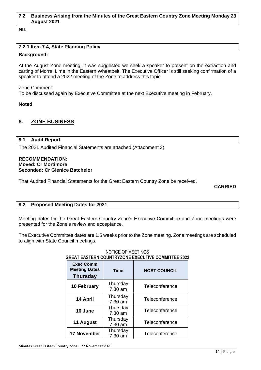#### <span id="page-13-0"></span>**7.2 Business Arising from the Minutes of the Great Eastern Country Zone Meeting Monday 23 August 2021**

**NIL**

#### <span id="page-13-1"></span>**7.2.1 Item 7.4, State Planning Policy**

#### **Background:**

At the August Zone meeting, it was suggested we seek a speaker to present on the extraction and carting of Morrel Lime in the Eastern Wheatbelt. The Executive Officer is still seeking confirmation of a speaker to attend a 2022 meeting of the Zone to address this topic.

Zone Comment:

To be discussed again by Executive Committee at the next Executive meeting in February.

#### **Noted**

#### <span id="page-13-2"></span>**8. ZONE BUSINESS**

#### <span id="page-13-3"></span>**8.1 Audit Report**

The 2021 Audited Financial Statements are attached (Attachment 3).

#### **RECOMMENDATION: Moved: Cr Mortimore Seconded: Cr Glenice Batchelor**

That Audited Financial Statements for the Great Eastern Country Zone be received.

#### **CARRIED**

#### <span id="page-13-4"></span>**8.2 Proposed Meeting Dates for 2021**

Meeting dates for the Great Eastern Country Zone's Executive Committee and Zone meetings were presented for the Zone's review and acceptance.

The Executive Committee dates are 1.5 weeks prior to the Zone meeting. Zone meetings are scheduled to align with State Council meetings.

| GREAT EASTERN COUNTRYZONE EXECUTIVE COMMITTEE 2022          |                     |                     |  |  |
|-------------------------------------------------------------|---------------------|---------------------|--|--|
| <b>Exec Comm</b><br><b>Meeting Dates</b><br><b>Thursday</b> | <b>Time</b>         | <b>HOST COUNCIL</b> |  |  |
| <b>10 February</b>                                          | Thursday<br>7.30 am | Teleconference      |  |  |
| 14 April                                                    | Thursday<br>7.30 am | Teleconference      |  |  |
| 16 June                                                     | Thursday<br>7.30 am | Teleconference      |  |  |
| 11 August                                                   | Thursday<br>7.30 am | Teleconference      |  |  |
| 17 November                                                 | Thursday<br>7.30 am | Teleconference      |  |  |

# NOTICE OF MEETINGS **GREAT EASTERN COUNTRYZONE EXECUTIVE COMMITTEE 2022**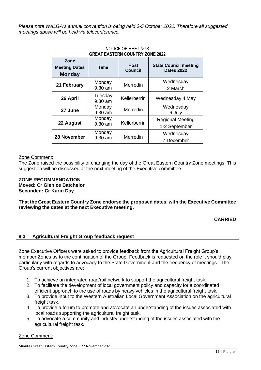*Please note WALGA's annual convention is being held 2-5 October 2022. Therefore all suggested meetings above will be held via teleconference.*

| Zone<br><b>Meeting Dates</b><br><b>Monday</b> | <b>Time</b>        | <b>Host</b><br><b>Council</b> | <b>State Council meeting</b><br><b>Dates 2022</b> |
|-----------------------------------------------|--------------------|-------------------------------|---------------------------------------------------|
| 21 February                                   | Monday<br>9.30 am  | Merredin                      | Wednesday<br>2 March                              |
| 26 April                                      | Tuesday<br>9.30 am | Kellerberrin                  | Wednesday 4 May                                   |
| 27 June                                       | Monday<br>9.30 am  | Merredin                      | Wednesday<br>6 July                               |
| 22 August                                     | Monday<br>9.30 am  | Kellerberrin                  | <b>Regional Meeting</b><br>1-2 September          |
| 28 November                                   | Monday<br>9.30 am  | Merredin                      | Wednesday<br>7 December                           |

#### NOTICE OF MEETINGS **GREAT EASTERN COUNTRY ZONE 2022**

## Zone Comment:

The Zone raised the possibility of changing the day of the Great Eastern Country Zone meetings. This suggestion will be discussed at the next meeting of the Executive committee.

#### **ZONE RECOMMENDATION Moved: Cr Glenice Batchelor Seconded: Cr Karin Day**

**That the Great Eastern Country Zone endorse the proposed dates, with the Executive Committee reviewing the dates at the next Executive meeting.**

# **CARRIED**

<span id="page-14-0"></span>**8.3 Agricultural Freight Group feedback request**

Zone Executive Officers were asked to provide feedback from the Agricultural Freight Group's member Zones as to the continuation of the Group. Feedback is requested on the role it should play particularly with regards to advocacy to the State Government and the frequency of meetings. The Group's current objectives are:

- 1. To achieve an integrated road/rail network to support the agricultural freight task.
- 2. To facilitate the development of local government policy and capacity for a coordinated efficient approach to the use of roads by heavy vehicles in the agricultural freight task.
- 3. To provide input to the Western Australian Local Government Association on the agricultural freight task.
- 4. To provide a forum to promote and advocate an understanding of the issues associated with local roads supporting the agricultural freight task.
- 5. To advocate a community and industry understanding of the issues associated with the agricultural freight task.

#### Zone Comment: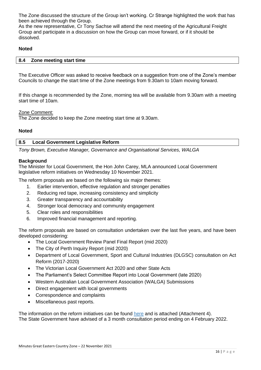The Zone discussed the structure of the Group isn't working. Cr Strange highlighted the work that has been achieved through the Group.

As the new representative, Cr Tony Sachse will attend the next meeting of the Agricultural Freight Group and participate in a discussion on how the Group can move forward, or if it should be dissolved.

#### **Noted**

<span id="page-15-0"></span>

| 8.4 Zone meeting start time |  |
|-----------------------------|--|

The Executive Officer was asked to receive feedback on a suggestion from one of the Zone's member Councils to change the start time of the Zone meetings from 9.30am to 10am moving forward.

If this change is recommended by the Zone, morning tea will be available from 9.30am with a meeting start time of 10am.

Zone Comment:

The Zone decided to keep the Zone meeting start time at 9.30am.

#### <span id="page-15-1"></span>**Noted**

#### **8.5 Local Government Legislative Reform**

*Tony Brown, Executive Manager, Governance and Organisational Services, WALGA*

#### **Background**

The Minister for Local Government, the Hon John Carey, MLA announced Local Government legislative reform initiatives on Wednesday 10 November 2021.

The reform proposals are based on the following six major themes:

- 1. Earlier intervention, effective regulation and stronger penalties
- 2. Reducing red tape, increasing consistency and simplicity
- 3. Greater transparency and accountability
- 4. Stronger local democracy and community engagement
- 5. Clear roles and responsibilities
- 6. Improved financial management and reporting.

The reform proposals are based on consultation undertaken over the last five years, and have been developed considering:

- The Local Government Review Panel Final Report (mid 2020)
- The City of Perth Inquiry Report (mid 2020)
- Department of Local Government, Sport and Cultural Industries (DLGSC) consultation on Act Reform (2017-2020)
- The Victorian Local Government Act 2020 and other State Acts
- The Parliament's Select Committee Report into Local Government (late 2020)
- Western Australian Local Government Association (WALGA) Submissions
- Direct engagement with local governments
- Correspondence and complaints
- Miscellaneous past reports.

The information on the reform initiatives can be found [here](https://www.dlgsc.wa.gov.au/local-government/strengthening-local-government/public-consultations/local-government-act-reform-consultation) and is attached (Attachment 4). The State Government have advised of a 3 month consultation period ending on 4 February 2022.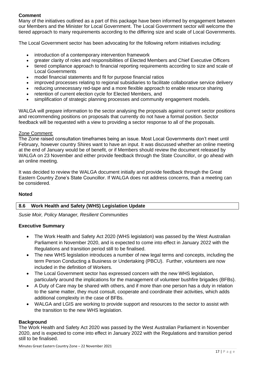# **Comment**

Many of the initiatives outlined as a part of this package have been informed by engagement between our Members and the Minister for Local Government. The Local Government sector will welcome the tiered approach to many requirements according to the differing size and scale of Local Governments.

The Local Government sector has been advocating for the following reform initiatives including:

- introduction of a contemporary intervention framework
- greater clarity of roles and responsibilities of Elected Members and Chief Executive Officers
- tiered compliance approach to financial reporting requirements according to size and scale of Local Governments
- model financial statements and fit for purpose financial ratios
- improved processes relating to regional subsidiaries to facilitate collaborative service delivery
- reducing unnecessary red-tape and a more flexible approach to enable resource sharing
- retention of current election cycle for Elected Members, and
- simplification of strategic planning processes and community engagement models.

WALGA will prepare information to the sector analysing the proposals against current sector positions and recommending positions on proposals that currently do not have a formal position. Sector feedback will be requested with a view to providing a sector response to all of the proposals.

# Zone Comment:

The Zone raised consultation timeframes being an issue. Most Local Governments don't meet until February, however country Shires want to have an input. It was discussed whether an online meeting at the end of January would be of benefit, or if Members should review the document released by WALGA on 23 November and either provide feedback through the State Councillor, or go ahead with an online meeting.

It was decided to review the WALGA document initially and provide feedback through the Great Eastern Country Zone's State Councillor. If WALGA does not address concerns, than a meeting can be considered.

#### <span id="page-16-0"></span>**Noted**

# **8.6 Work Health and Safety (WHS) Legislation Update**

*Susie Moir, Policy Manager, Resilient Communities*

#### **Executive Summary**

- The Work Health and Safety Act 2020 (WHS legislation) was passed by the West Australian Parliament in November 2020, and is expected to come into effect in January 2022 with the Regulations and transition period still to be finalised.
- The new WHS legislation introduces a number of new legal terms and concepts, including the term Person Conducting a Business or Undertaking (PBCU). Further, volunteers are now included in the definition of Workers.
- The Local Government sector has expressed concern with the new WHS legislation, particularly around the implications for the management of volunteer bushfire brigades (BFBs).
- A Duty of Care may be shared with others, and if more than one person has a duty in relation to the same matter, they must consult, cooperate and coordinate their activities, which adds additional complexity in the case of BFBs.
- WALGA and LGIS are working to provide support and resources to the sector to assist with the transition to the new WHS legislation.

#### **Background**

The Work Health and Safety Act 2020 was passed by the West Australian Parliament in November 2020, and is expected to come into effect in January 2022 with the Regulations and transition period still to be finalised.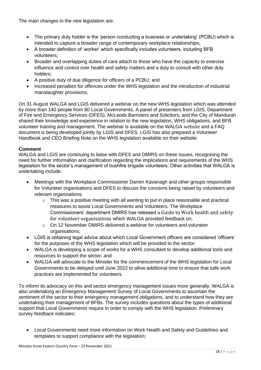The main changes in the new legislation are:

- The primary duty holder is the 'person conducting a business or undertaking' (PCBU) which is intended to capture a broader range of contemporary workplace relationships;
- A broader definition of 'worker' which specifically includes volunteers, including BFB volunteers;
- Broader and overlapping duties of care attach to those who have the capacity to exercise influence and control over health and safety matters and a duty to consult with other duty holders;
- A positive duty of due diligence for officers of a PCBU; and
- Increased penalties for offences under the WHS legislation and the introduction of industrial manslaughter provisions;

On 31 August WALGA and LGIS delivered a webinar on the new WHS legislation which was attended by more than 140 people from 80 Local Governments. A panel of presenters from LGIS, Department of Fire and Emergency Services (DFES), McLeods Barristers and Solicitors, and the City of Mandurah shared their knowledge and experience in relation to the new legislation, WHS obligations, and BFB volunteer training and management. The webinar is available on the WALGA [website](https://walga.asn.au/Policy-Advice-and-Advocacy/Emergency-Management/Information-for-Local-Governments) and a FAQ document is being developed jointly by LGIS and DFES. LGIS has also prepared a Volunteer Handbook and CEO Briefing Note on the WHS legislation available on their website.

# **Comment**

WALGA and LGIS are continuing to liaise with DFES and DMIRS on these issues, recognising the need for further information and clarification regarding the implications and requirements of the WHS legislation for the sector's management of bushfire brigade volunteers. Other activities that WALGA is undertaking include:

- Meetings with the Workplace Commissioner Darren Kavanagh and other groups responsible for Volunteer organisations and DFES to discuss the concerns being raised by volunteers and relevant organisations.
	- $\circ$  This was a positive meeting with all wanting to put in place reasonable and practical measures to assist Local Governments and Volunteers. The Workplace Commissioners' department DMIRS has released [a Guide to Work health and safety](https://www.dmirs.wa.gov.au/sites/default/files/atoms/files/211103_gl_whsvolunteer.pdf)  [for volunteer organisations](https://www.dmirs.wa.gov.au/sites/default/files/atoms/files/211103_gl_whsvolunteer.pdf) which WALGA provided feedback on.
	- $\circ$  On 12 November DMIRS delivered a webinar for volunteers and volunteer organisations;
- LGIS is obtaining legal advice about which Local Government officers are considered 'officers' for the purposes of the WHS legislation which will be provided to the sector;
- WALGA is developing a scope of works for a WHS consultant to develop additional tools and resources to support the sector; and
- WALGA will advocate to the Minister for the commencement of the WHS legislation for Local Governments to be delayed until June 2022 to allow additional time to ensure that safe work practices are implemented for volunteers.

To inform its advocacy on this and sector emergency management issues more generally, WALGA is also undertaking an Emergency Management Survey of Local Governments to ascertain the sentiment of the sector to their emergency management obligations, and to understand how they are undertaking their management of BFBs. The survey includes questions about the types of additional support that Local Governments require in order to comply with the WHS legislation. Preliminary survey feedback indicates:

• Local Governments need more information on Work Health and Safety and Guidelines and templates to support compliance with the legislation;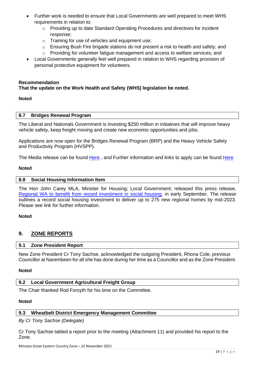- Further work is needed to ensure that Local Governments are well prepared to meet WHS requirements in relation to:
	- $\circ$  Providing up to date Standard Operating Procedures and directives for incident response;
	- o Training for use of vehicles and equipment use;
	- $\circ$  Ensuring Bush Fire brigade stations do not present a risk to health and safety; and
	- o Providing for volunteer fatigue management and access to welfare services; and
- Local Governments generally feel well prepared in relation to WHS regarding provision of personal protective equipment for volunteers.

#### **Recommendation**

#### **That the update on the Work Health and Safety (WHS) legislation be noted.**

#### **Noted**

#### <span id="page-18-0"></span>**8.7 Bridges Renewal Program**

The Liberal and Nationals Government is investing \$250 million in initiatives that will improve heavy vehicle safety, keep freight moving and create new economic opportunities and jobs.

Applications are now open for the Bridges Renewal Program (BRP) and the Heavy Vehicle Safety and Productivity Program (HVSPP).

The Media release can be found [Here](https://minister.infrastructure.gov.au/buchholz/media-release/250-million-improve-roads-and-keep-freight-moving) , and Further information and links to apply can be found [Here](https://investment.infrastructure.gov.au/about/local-initiatives/bridges-renewal-program.aspx)

#### <span id="page-18-1"></span>**Noted**

#### **8.8 Social Housing Information Item**

The Hon John Carey MLA, Minister for Housing; Local Government; released this press release, [Regional WA to benefit from record investment in social housing,](https://www.mediastatements.wa.gov.au/Pages/McGowan/2021/09/Regional-WA-to-benefit-from-record-investment-in-social-housing.aspx) in early September. The release outlines a record social housing investment to deliver up to 275 new regional homes by mid-2023. Please see link for further information.

#### **Noted**

# <span id="page-18-3"></span><span id="page-18-2"></span>**9. ZONE REPORTS**

#### **9.1 Zone President Report**

New Zone President Cr Tony Sachse, acknowledged the outgoing President, Rhona Cole, previous Councillor at Narembeen for all she has done during her time as a Councillor and as the Zone President.

#### **Noted**

#### <span id="page-18-4"></span>**9.2 Local Government Agricultural Freight Group**

The Chair thanked Rod Forsyth for his time on the Committee.

#### **Noted**

#### <span id="page-18-5"></span>**9.3 Wheatbelt District Emergency Management Committee**

*By Cr Tony Sachse (Delegate)*

Cr Tony Sachse tabled a report prior to the meeting (Attachment 11) and provided his report to the Zone.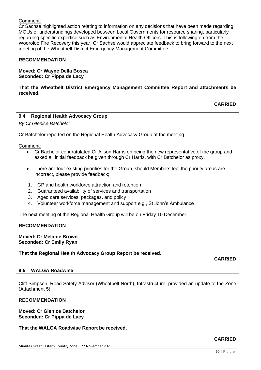#### Comment:

Cr Sachse highlighted action relating to information on any decisions that have been made regarding MOUs or understandings developed between Local Governments for resource sharing, particularly regarding specific expertise such as Environmental Health Officers. This is following on from the Wooroloo Fire Recovery this year. Cr Sachse would appreciate feedback to bring forward to the next meeting of the Wheatbelt District Emergency Management Committee.

#### **RECOMMENDATION**

#### **Moved: Cr Wayne Della Bosca Seconded: Cr Pippa de Lacy**

**That the Wheatbelt District Emergency Management Committee Report and attachments be received.**

#### **CARRIED**

<span id="page-19-0"></span>

| 9.4 | <b>Regional Health Advocacy Group</b> |  |  |
|-----|---------------------------------------|--|--|
|-----|---------------------------------------|--|--|

*By Cr Glenice Batchelor*

Cr Batchelor reported on the Regional Health Advocacy Group at the meeting.

Comment:

- Cr Bachelor congratulated Cr Alison Harris on being the new representative of the group and asked all initial feedback be given through Cr Harris, with Cr Batchelor as proxy.
- There are four existing priorities for the Group, should Members feel the priority areas are incorrect, please provide feedback;
- 1. GP and health workforce attraction and retention
- 2. Guaranteed availability of services and transportation
- 3. Aged care services, packages, and policy
- 4. Volunteer workforce management and support e.g., St John's Ambulance

The next meeting of the Regional Health Group will be on Friday 10 December.

#### **RECOMMENDATION**

**Moved: Cr Melanie Brown Seconded: Cr Emily Ryan**

**That the Regional Health Advocacy Group Report be received.**

#### **CARRIED**

#### <span id="page-19-1"></span>**9.5 WALGA Roadwise**

Cliff Simpson, Road Safety Advisor (Wheatbelt North), Infrastructure, provided an update to the Zone (Attachment 5)

#### **RECOMMENDATION**

#### **Moved: Cr Glenice Batchelor Seconded: Cr Pippa de Lacy**

#### **That the WALGA Roadwise Report be received.**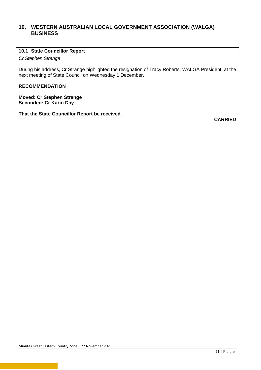# <span id="page-20-0"></span>**10. WESTERN AUSTRALIAN LOCAL GOVERNMENT ASSOCIATION (WALGA) BUSINESS**

#### <span id="page-20-1"></span>**10.1 State Councillor Report**

*Cr Stephen Strange*

During his address, Cr Strange highlighted the resignation of Tracy Roberts, WALGA President, at the next meeting of State Council on Wednesday 1 December.

# **RECOMMENDATION**

**Moved: Cr Stephen Strange Seconded: Cr Karin Day**

**That the State Councillor Report be received.**

**CARRIED**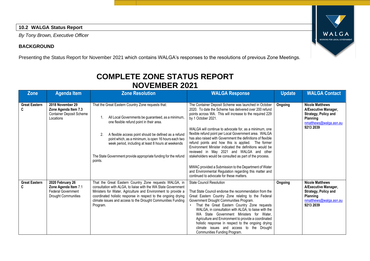# **10.2 WALGA Status Report**

*By Tony Brown, Executive Officer*

# **BACKGROUND**

Presenting the Status Report for November 2021 which contains WALGA's responses to the resolutions of previous Zone Meetings.

# **COMPLETE ZONE STATUS REPORT NOVEMBER 2021**

<span id="page-21-0"></span>

| <b>Zone</b>               | <b>Agenda Item</b>                                                                                  | <b>Zone Resolution</b>                                                                                                                                                                                                                                                                                                                                                                                           | <b>WALGA Response</b>                                                                                                                                                                                                                                                                                                                                                                                                                                                                                                                                                                                                                                                                                                                                                     | <b>Update</b> | <b>WALGA Contact</b>                                                                                                             |
|---------------------------|-----------------------------------------------------------------------------------------------------|------------------------------------------------------------------------------------------------------------------------------------------------------------------------------------------------------------------------------------------------------------------------------------------------------------------------------------------------------------------------------------------------------------------|---------------------------------------------------------------------------------------------------------------------------------------------------------------------------------------------------------------------------------------------------------------------------------------------------------------------------------------------------------------------------------------------------------------------------------------------------------------------------------------------------------------------------------------------------------------------------------------------------------------------------------------------------------------------------------------------------------------------------------------------------------------------------|---------------|----------------------------------------------------------------------------------------------------------------------------------|
| <b>Great Eastern</b>      | 2018 November 29<br>Zone Agenda Item 7.3<br><b>Container Deposit Scheme</b><br>Locations            | That the Great Eastern Country Zone requests that:<br>All Local Governments be guaranteed, as a minimum,<br>one flexible refund point in their area.<br>A flexible access point should be defined as a refund<br>2.<br>point which, as a minimum, is open 16 hours each two<br>week period, including at least 8 hours at weekends<br>The State Government provide appropriate funding for the refund<br>points. | The Container Deposit Scheme was launched in October<br>2020. To date the Scheme has delivered over 200 refund<br>points across WA. This will increase to the required 229<br>by 1 October 2021.<br>WALGA will continue to advocate for, as a minimum, one<br>flexible refund point per Local Government area. WALGA<br>has also raised with Government the definitions of flexible<br>refund points and how this is applied. The former<br>Environment Minister indicated the definitions would be<br>reviewed in May 2021 and WALGA and other<br>stakeholders would be consulted as part of the process.<br>MWAC provided a Submission to the Department of Water<br>and Environmental Regulation regarding this matter and<br>continued to advocate for these matters. | Ongoing       | <b>Nicole Matthews</b><br>A/Executive Manager,<br>Strategy, Policy and<br>Planning<br>nmatthews@walga.asn.au<br>9213 2039        |
| <b>Great Eastern</b><br>C | 2020 February 26<br>Zone Agenda Item 7.1<br><b>Federal Government</b><br><b>Drought Communities</b> | That the Great Eastern Country Zone requests WALGA, in<br>consultation with ALGA, to liaise with the WA State Government<br>Ministers for Water, Agriculture and Environment to provide a<br>coordinated holistic response in respect to the ongoing drying<br>climate issues and access to the Drought Communities Funding<br>Program.                                                                          | <b>State Council Resolution</b><br>That State Council endorse the recommendation from the<br>Great Eastern Country Zone relating to the Federal<br>Government Drought Communities Program.<br>That the Great Eastern Country Zone requests<br>WALGA, in consultation with ALGA, to liaise with the<br>WA State Government Ministers for Water,<br>Agriculture and Environment to provide a coordinated<br>holistic response in respect to the ongoing drying<br>climate issues and access to the Drought<br>Communities Funding Program.                                                                                                                                                                                                                                  | Ongoing       | <b>Nicole Matthews</b><br>A/Executive Manager,<br>Strategy, Policy and<br><b>Planning</b><br>nmatthews@walga.asn.au<br>9213 2039 |

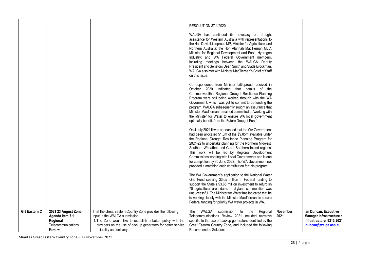|                      |                                                                                    |                                                                                                                                                                                                                                                           | RESOLUTION 37.1/2020<br>WALGA has continued its advocacy on drought<br>assistance for Western Australia with representations to<br>the Hon David Littleproud MP, Minister for Agriculture, and<br>Northern Australia; the Hon Alannah MacTiernan MLC,<br>Minister for Regional Development and Food; Hydrogen<br>Industry; and WA Federal Government members,<br>including meetings between the WALGA Deputy<br>President and Senators Dean Smith and Slade Brockman.<br>WALGA also met with Minister MacTiernan's Chief of Staff<br>on this issue. |                         |                                                                                                        |
|----------------------|------------------------------------------------------------------------------------|-----------------------------------------------------------------------------------------------------------------------------------------------------------------------------------------------------------------------------------------------------------|-----------------------------------------------------------------------------------------------------------------------------------------------------------------------------------------------------------------------------------------------------------------------------------------------------------------------------------------------------------------------------------------------------------------------------------------------------------------------------------------------------------------------------------------------------|-------------------------|--------------------------------------------------------------------------------------------------------|
|                      |                                                                                    |                                                                                                                                                                                                                                                           | Correspondence from Minister Littleproud received in<br>October 2020 indicated that details of the<br>Commonwealth's Regional Drought Resilience Planning<br>Program were still being worked through with the WA<br>Government, which was yet to commit to co-funding the<br>program. WALGA subsequently sought an assurance that<br>Minister MacTiernan remained committed to 'working with<br>the Minister for Water to ensure WA local government<br>optimally benefit from the Future Drought Fund'.                                            |                         |                                                                                                        |
|                      |                                                                                    |                                                                                                                                                                                                                                                           | On 4 July 2021 it was announced that the WA Government<br>had been allocated \$1.3m of the \$9.85m available under<br>the Regional Drought Resilience Planning Program for<br>2021-22 to undertake planning for the Northern Midwest,<br>Southern Wheatbelt and Great Southern Inland regions.<br>This work will be led by Regional Development<br>Commissions working with Local Governments and is due<br>for completion by 30 June 2022. The WA Government not<br>provided a matching cash contribution for this program.                        |                         |                                                                                                        |
|                      |                                                                                    |                                                                                                                                                                                                                                                           | The WA Government's application to the National Water<br>Grid Fund seeking \$3.65 million in Federal funding to<br>support the State's \$3.65 million investment to refurbish<br>70 agricultural area dams in dryland communities was<br>unsuccessful. The Minister for Water has indicated that he<br>is working closely with the Minister MacTiernan, to secure<br>Federal funding for priority WA water projects in WA.                                                                                                                          |                         |                                                                                                        |
| <b>Grt Eastern C</b> | 2021 23 August Zone<br>Agenda Item 7.1<br>Regional<br>Telecommunications<br>Review | That the Great Eastern Country Zone provides the following<br>input to the WALGA submission:<br>1. The Zone would like to establish a better policy with the<br>providers on the use of backup generators for better service<br>reliability and delivery. | WALGA submission to the<br>Regional<br>The<br>Telecommunications Review 2021 included narrative<br>specific to the use of backup generators identified by the<br>Great Eastern Country Zone, and included the following<br>Recommended Solution:                                                                                                                                                                                                                                                                                                    | <b>November</b><br>2021 | Ian Duncan, Executive<br>Manager Infrastructure •<br>Infrastructure, 9213 2031<br>iduncan@walqa.asn.au |

Minutes Great Eastern Country Zone – 22 November 2021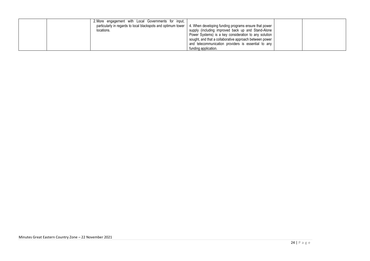|  | 2. More engagement with Local Governments for input,                                                                  |                                                         |  |
|--|-----------------------------------------------------------------------------------------------------------------------|---------------------------------------------------------|--|
|  | particularly in regards to local blackspots and optimum tower   4. When developing funding programs ensure that power |                                                         |  |
|  | locations.                                                                                                            | supply (including improved back up and Stand-Alone      |  |
|  |                                                                                                                       | Power Systems) is a key consideration to any solution   |  |
|  |                                                                                                                       | sought, and that a collaborative approach between power |  |
|  |                                                                                                                       | and telecommunication providers is essential to any     |  |
|  |                                                                                                                       | funding application.                                    |  |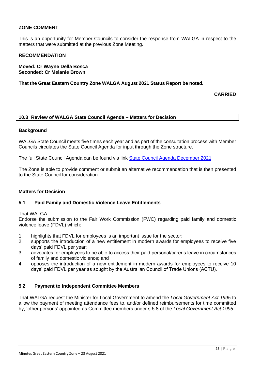## **ZONE COMMENT**

This is an opportunity for Member Councils to consider the response from WALGA in respect to the matters that were submitted at the previous Zone Meeting.

#### **RECOMMENDATION**

**Moved: Cr Wayne Della Bosca Seconded: Cr Melanie Brown**

**That the Great Eastern Country Zone WALGA August 2021 Status Report be noted.**

**CARRIED**

#### <span id="page-24-0"></span>**10.3 Review of WALGA State Council Agenda – Matters for Decision**

#### **Background**

WALGA State Council meets five times each year and as part of the consultation process with Member Councils circulates the State Council Agenda for input through the Zone structure.

The full State Council Agenda can be found via link [State Council Agenda December 2021](https://walga.asn.au/getattachment/3343e830-5768-4c52-8caa-6806b33bb7bc/State-Council-Agenda-1-December-2021.pdf)

The Zone is able to provide comment or submit an alternative recommendation that is then presented to the State Council for consideration.

#### **Matters for Decision**

#### **5.1 Paid Family and Domestic Violence Leave Entitlements**

#### That WAI GA:

Endorse the submission to the Fair Work Commission (FWC) regarding paid family and domestic violence leave (FDVL) which:

- 1. highlights that FDVL for employees is an important issue for the sector;
- 2. supports the introduction of a new entitlement in modern awards for employees to receive five days' paid FDVL per year;
- 3. advocates for employees to be able to access their paid personal/carer's leave in circumstances of family and domestic violence; and
- 4. opposes the introduction of a new entitlement in modern awards for employees to receive 10 days' paid FDVL per year as sought by the Australian Council of Trade Unions (ACTU).

#### **5.2 Payment to Independent Committee Members**

That WALGA request the Minister for Local Government to amend the *Local Government Act 1995* to allow the payment of meeting attendance fees to, and/or defined reimbursements for time committed by, 'other persons' appointed as Committee members under s.5.8 of the *Local Government Act 1995*.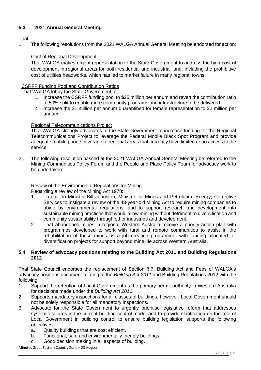# **5.3 2021 Annual General Meeting**

# That:

1. The following resolutions from the 2021 WALGA Annual General Meeting be endorsed for action:

#### Cost of Regional Development

That WALGA makes urgent representation to the State Government to address the high cost of development in regional areas for both residential and industrial land, including the prohibitive cost of utilities headworks, which has led to market failure in many regional towns.

#### CSRFF Funding Pool and Contribution Ratios

That WALGA lobby the State Government to:

- 1. Increase the CSRFF funding pool to \$25 million per annum and revert the contribution ratio to 50% split to enable more community programs and infrastructure to be delivered.
- 2. Increase the \$1 million per annum quarantined for female representation to \$2 million per annum.

#### Regional Telecommunications Project

That WALGA strongly advocates to the State Government to increase funding for the Regional Telecommunications Project to leverage the Federal Mobile Black Spot Program and provide adequate mobile phone coverage to regional areas that currently have limited or no access to the service.

2. The following resolution passed at the 2021 WALGA Annual General Meeting be referred to the Mining Communities Policy Forum and the People and Place Policy Team for advocacy work to be undertaken:

#### Review of the Environmental Regulations for Mining

Regarding a review of the Mining Act 1978:

- 1. To call on Minister Bill Johnston, Minister for Mines and Petroleum; Energy; Corrective Services to instigate a review of the 43-year-old Mining Act to require mining companies to abide by environmental regulations, and to support research and development into sustainable mining practices that would allow mining without detriment to diversification and community sustainability through other industries and development.
- 2. That abandoned mines in regional Western Australia receive a priority action plan with programmes developed to work with rural and remote communities to assist in the rehabilitation of these mines as a job creation programme, with funding allocated for diversification projects for support beyond mine life across Western Australia.

#### **5.4 Review of advocacy positions relating to the Building Act 2011 and Building Regulations 2012**

That State Council endorses the replacement of Section 6.7: Building Act and Fees of WALGA's advocacy positions document relating to the *Building Act 2011* and Building Regulations 2012 with the following:

- 1. Support the retention of Local Government as the primary permit authority in Western Australia for decisions made under the *Building Act 2011*.
- 2. Supports mandatory inspections for all classes of buildings, however, Local Government should not be solely responsible for all mandatory inspections.
- 3. Advocate for the State Government to urgently prioritise legislative reform that addresses systemic failures in the current building control model and to provide clarification on the role of Local Government in building control to ensure building legislation supports the following objectives:
	- a. Quality buildings that are cost efficient.
	- b. Functional, safe and environmentally friendly buildings.
	- c. Good decision making in all aspects of building.

Minutes Great Eastern Country Zone – 23 August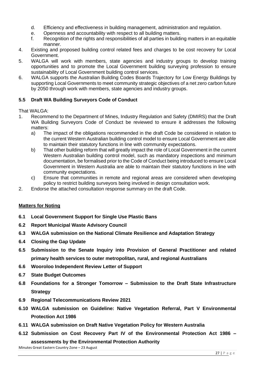- d. Efficiency and effectiveness in building management, administration and regulation.
- e. Openness and accountability with respect to all building matters.
- f. Recognition of the rights and responsibilities of all parties in building matters in an equitable manner.
- 4. Existing and proposed building control related fees and charges to be cost recovery for Local Government.
- 5. WALGA will work with members, state agencies and industry groups to develop training opportunities and to promote the Local Government building surveying profession to ensure sustainability of Local Government building control services.
- 6. WALGA supports the Australian Building Codes Boards Trajectory for Low Energy Buildings by supporting Local Governments to meet community strategic objectives of a net zero carbon future by 2050 through work with members, state agencies and industry groups.

## **5.5 Draft WA Building Surveyors Code of Conduct**

#### That WALGA:

- 1. Recommend to the Department of Mines, Industry Regulation and Safety (DMIRS) that the Draft WA Building Surveyors Code of Conduct be reviewed to ensure it addresses the following matters:
	- a) The impact of the obligations recommended in the draft Code be considered in relation to the current Western Australian building control model to ensure Local Government are able to maintain their statutory functions in line with community expectations.
	- b) That other building reform that will greatly impact the role of Local Government in the current Western Australian building control model, such as mandatory inspections and minimum documentation, be formalised prior to the Code of Conduct being introduced to ensure Local Government in Western Australia are able to maintain their statutory functions in line with community expectations.
	- c) Ensure that communities in remote and regional areas are considered when developing policy to restrict building surveyors being involved in design consultation work.
- 2. Endorse the attached consultation response summary on the draft Code.

#### **Matters for Noting**

- **6.1 Local Government Support for Single Use Plastic Bans**
- **6.2 Report Municipal Waste Advisory Council**
- **6.3 WALGA submission on the National Climate Resilience and Adaptation Strategy**
- **6.4 Closing the Gap Update**
- **6.5 Submission to the Senate Inquiry into Provision of General Practitioner and related primary health services to outer metropolitan, rural, and regional Australians**
- **6.6 Wooroloo Independent Review Letter of Support**
- **6.7 State Budget Outcomes**
- **6.8 Foundations for a Stronger Tomorrow – Submission to the Draft State Infrastructure Strategy**
- **6.9 Regional Telecommunications Review 2021**
- **6.10 WALGA submission on Guideline: Native Vegetation Referral, Part V Environmental Protection Act 1986**
- **6.11 WALGA submission on Draft Native Vegetation Policy for Western Australia**
- **6.12 Submission on Cost Recovery Part IV of the Environmental Protection Act 1986 – assessments by the Environmental Protection Authority**

Minutes Great Eastern Country Zone – 23 August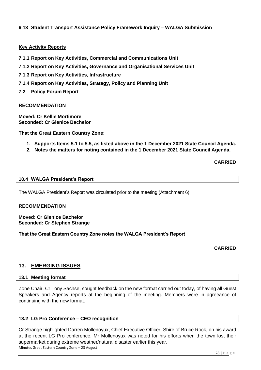# **6.13 Student Transport Assistance Policy Framework Inquiry – WALGA Submission**

#### **Key Activity Reports**

- **7.1.1 Report on Key Activities, Commercial and Communications Unit**
- **7.1.2 Report on Key Activities, Governance and Organisational Services Unit**
- **7.1.3 Report on Key Activities, Infrastructure**
- **7.1.4 Report on Key Activities, Strategy, Policy and Planning Unit**
- **7.2 Policy Forum Report**

#### **RECOMMENDATION**

**Moved: Cr Kellie Mortimore Seconded: Cr Glenice Bachelor**

**That the Great Eastern Country Zone:**

- **1. Supports Items 5.1 to 5.5, as listed above in the 1 December 2021 State Council Agenda.**
- **2. Notes the matters for noting contained in the 1 December 2021 State Council Agenda.**

**CARRIED**

#### <span id="page-27-0"></span>**10.4 WALGA President's Report**

The WALGA President's Report was circulated prior to the meeting (Attachment 6)

#### **RECOMMENDATION**

**Moved: Cr Glenice Bachelor Seconded: Cr Stephen Strange**

**That the Great Eastern Country Zone notes the WALGA President's Report**

**CARRIED**

# <span id="page-27-1"></span>**13. EMERGING ISSUES**

#### <span id="page-27-2"></span>**13.1 Meeting format**

Zone Chair, Cr Tony Sachse, sought feedback on the new format carried out today, of having all Guest Speakers and Agency reports at the beginning of the meeting. Members were in agreeance of continuing with the new format.

#### <span id="page-27-3"></span>**13.2 LG Pro Conference – CEO recognition**

Minutes Great Eastern Country Zone – 23 August Cr Strange highlighted Darren Mollenoyux, Chief Executive Officer, Shire of Bruce Rock, on his award at the recent LG Pro conference. Mr Mollenoyux was noted for his efforts when the town lost their supermarket during extreme weather/natural disaster earlier this year.